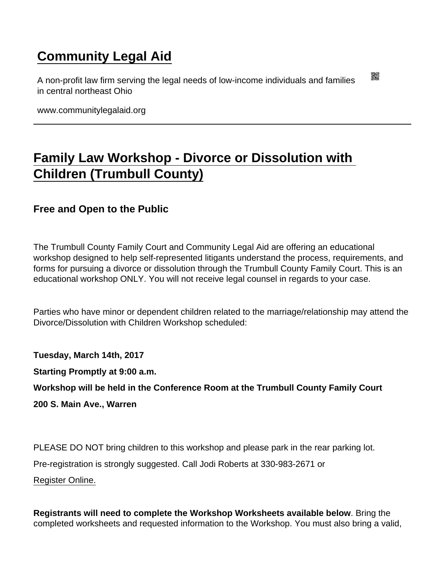## [Community Legal Aid](https://www.communitylegalaid.org/)

A non-profit law firm serving the legal needs of low-income individuals and families in central northeast Ohio

www.communitylegalaid.org

## [Family Law Workshop - Divorce or Dissolution with](https://www.communitylegalaid.org/node/311/family-law-workshop-divorce-or-dissolution-children-trumbull-county)  [Children \(Trumbull County\)](https://www.communitylegalaid.org/node/311/family-law-workshop-divorce-or-dissolution-children-trumbull-county)

Free and Open to the Public

The Trumbull County Family Court and Community Legal Aid are offering an educational workshop designed to help self-represented litigants understand the process, requirements, and forms for pursuing a divorce or dissolution through the Trumbull County Family Court. This is an educational workshop ONLY. You will not receive legal counsel in regards to your case.

Parties who have minor or dependent children related to the marriage/relationship may attend the Divorce/Dissolution with Children Workshop scheduled:

Tuesday, March 14th, 2017

Starting Promptly at 9:00 a.m.

Workshop will be held in the Conference Room at the Trumbull County Family Court

200 S. Main Ave., Warren

PLEASE DO NOT bring children to this workshop and please park in the rear parking lot. Pre-registration is strongly suggested. Call Jodi Roberts at 330-983-2671 or [Register Online.](https://docs.google.com/forms/d/e/1FAIpQLSeb_QLmPSEFiHcA7zZZFh7XvHuG_pQFLUbM3CCM00g6VWkSSA/viewform?c=0&w=1)

Registrants will need to complete the Workshop Worksheets available below . Bring the completed worksheets and requested information to the Workshop. You must also bring a valid,